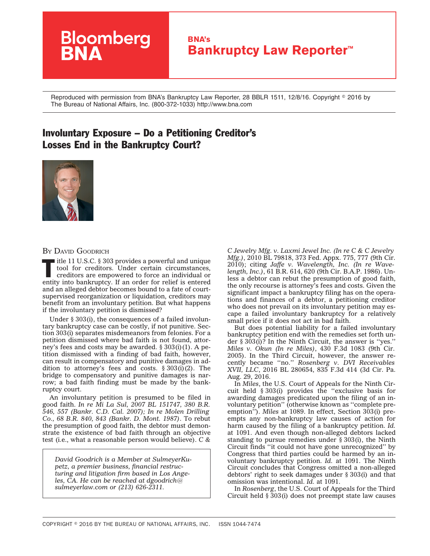## **Bloomberg BNA's Bankruptcy Law Reporter™**

Reproduced with permission from BNA's Bankruptcy Law Reporter, 28 BBLR 1511, 12/8/16. Copyright © 2016 by The Bureau of National Affairs, Inc. (800-372-1033) http://www.bna.com

## Involuntary Exposure – Do a Petitioning Creditor's Losses End in the Bankruptcy Court?



## BY DAVID GOODRICH

 $\blacksquare$  itle 11 U.S.C. § 303 provides a powerful and unique tool for creditors. Under certain circumstances, creditors are empowered to force an individual or entity into bankruptcy. If an order for relief is entered and an alleged debtor becomes bound to a fate of courtsupervised reorganization or liquidation, creditors may benefit from an involuntary petition. But what happens if the involuntary petition is dismissed?

Under § 303(i), the consequences of a failed involuntary bankruptcy case can be costly, if not punitive. Section 303(i) separates misdemeanors from felonies. For a petition dismissed where bad faith is not found, attorney's fees and costs may be awarded. § 303(i)(1). A petition dismissed with a finding of bad faith, however, can result in compensatory and punitive damages in addition to attorney's fees and costs.  $\S 303(i)(2)$ . The bridge to compensatory and punitive damages is narrow; a bad faith finding must be made by the bankruptcy court.

An involuntary petition is presumed to be filed in good faith. *[In re Mi La Sul,](http://www.bloomberglaw.com/public/document/In_re_Mi_La_Sul_380_BR_546_Bankr_CD_Cal_2007_Court_Opinion) 2007 BL 151747, 380 B.R. 546, 557 (Bankr. C.D. Cal. 2007); [In re Molen Drilling](http://www.bloomberglaw.com/public/document/In_re_Molen_Drilling_Co_68_BR_840_Bankr_D_Mont_1987_Court_Opinion) [Co.,](http://www.bloomberglaw.com/public/document/In_re_Molen_Drilling_Co_68_BR_840_Bankr_D_Mont_1987_Court_Opinion) 68 B.R. 840, 843 (Bankr. D. Mont. 1987)*. To rebut the presumption of good faith, the debtor must demonstrate the existence of bad faith through an objective test (i.e., what a reasonable person would believe). *[C &](http://www.bloomberglaw.com/public/document/C__C_Jewelry_Mfg_Inc_v_Laxmi_Jewel_Inc_In_re_C__C_Jewelry_Mfg_Inc)*

*David Goodrich is a Member at SulmeyerKupetz, a premier business, financial restructuring and litigation firm based in Los Angeles, CA. He can be reached at dgoodrich@ sulmeyerlaw.com or (213) 626-2311.*

*[C Jewelry Mfg. v. Laxmi Jewel Inc. \(In reC&C](http://www.bloomberglaw.com/public/document/C__C_Jewelry_Mfg_Inc_v_Laxmi_Jewel_Inc_In_re_C__C_Jewelry_Mfg_Inc) Jewelry [Mfg.\)](http://www.bloomberglaw.com/public/document/C__C_Jewelry_Mfg_Inc_v_Laxmi_Jewel_Inc_In_re_C__C_Jewelry_Mfg_Inc)*, 2010 BL 79818, 373 Fed. Appx. 775, 777 (9th Cir. 2010); citing *[Jaffe v. Wavelength, Inc. \(In re Wave](http://www.bloomberglaw.com/public/document/Jaffe_v_Wavelength_Inc_In_re_Wavelength_Inc_61_BR_614_BAP_9th_Cir)[length, Inc.\)](http://www.bloomberglaw.com/public/document/Jaffe_v_Wavelength_Inc_In_re_Wavelength_Inc_61_BR_614_BAP_9th_Cir)*, 61 B.R. 614, 620 (9th Cir. B.A.P. 1986). Unless a debtor can rebut the presumption of good faith, the only recourse is attorney's fees and costs. Given the significant impact a bankruptcy filing has on the operations and finances of a debtor, a petitioning creditor who does not prevail on its involuntary petition may escape a failed involuntary bankruptcy for a relatively small price if it does not act in bad faith.

But does potential liability for a failed involuntary bankruptcy petition end with the remedies set forth under § 303(i)? In the Ninth Circuit, the answer is ''yes.'' *[Miles v. Okun \(In re Miles\)](http://www.bloomberglaw.com/public/document/Miles_v_Okun_In_re_Miles_430_F3d_1083_9th_Cir_2005_Court_Opinion/1)*, 430 F.3d 1083 (9th Cir. 2005). In the Third Circuit, however, the answer recently became ''no.'' *[Rosenberg v. DVI Receivables](http://www.bloomberglaw.com/public/document/Rosenberg_v_DVI_Receivables_XVII_LLC_835_F3d_414_3d_Cir_2016_Cour) [XVII, LLC](http://www.bloomberglaw.com/public/document/Rosenberg_v_DVI_Receivables_XVII_LLC_835_F3d_414_3d_Cir_2016_Cour)*, 2016 BL 280654, 835 F.3d 414 (3d Cir. Pa. Aug. 29, 2016.

In *Miles*, the U.S. Court of Appeals for the Ninth Circuit held § 303(i) provides the ''exclusive basis for awarding damages predicated upon the filing of an involuntary petition'' (otherwise known as ''complete preemption''). *Miles* at 1089. In effect, Section 303(i) preempts any non-bankruptcy law causes of action for harm caused by the filing of a bankruptcy petition. *Id.* at 1091. And even though non-alleged debtors lacked standing to pursue remedies under § 303(i), the Ninth Circuit finds ''it could not have gone unrecognized'' by Congress that third parties could be harmed by an involuntary bankruptcy petition. *Id.* at 1091. The Ninth Circuit concludes that Congress omitted a non-alleged debtors' right to seek damages under § 303(i) and that omission was intentional. *Id.* at 1091.

In *Rosenberg*, the U.S. Court of Appeals for the Third Circuit held § 303(i) does not preempt state law causes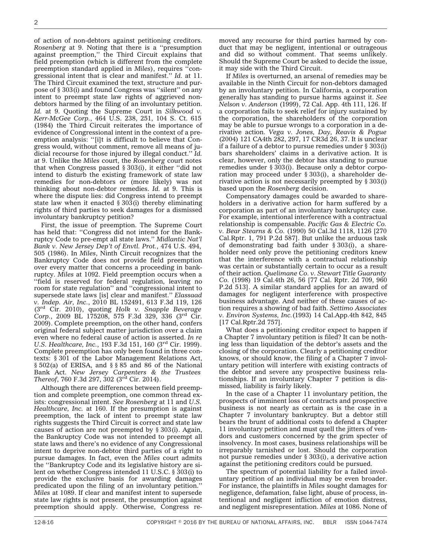of action of non-debtors against petitioning creditors. *Rosenberg* at 9. Noting that there is a ''presumption against preemption,'' the Third Circuit explains that field preemption (which is different from the complete preemption standard applied in *Miles*), requires ''congressional intent that is clear and manifest.'' *Id.* at 11. The Third Circuit examined the text, structure and purpose of § 303(i) and found Congress was ''silent'' on any intent to preempt state law rights of aggrieved nondebtors harmed by the filing of an involuntary petition. *Id.* at 9. Quoting the Supreme Court in *[Silkwood v.](http://www.bloomberglaw.com/public/document/Silkwood_v_KerrMcGee_Corp_464_US_238_104_S_Ct_615_78_L_Ed_2d_443_) [Kerr-McGee Corp.](http://www.bloomberglaw.com/public/document/Silkwood_v_KerrMcGee_Corp_464_US_238_104_S_Ct_615_78_L_Ed_2d_443_)*, 464 U.S. 238, 251, 104 S. Ct. 615 (1984) the Third Circuit reiterates the importance of evidence of Congressional intent in the context of a preemption analysis: "[i]t is difficult to believe that Congress would, without comment, remove all means of judicial recourse for those injured by illegal conduct.'' *Id.* at 9. Unlike the *Miles* court, the *Rosenberg* court notes that when Congress passed  $\S 303(i)$ , it either "did not intend to disturb the existing framework of state law remedies for non-debtors or (more likely) was not thinking about non-debtor remedies. *Id.* at 9. This is where the dispute lies: did Congress intend to preempt state law when it enacted § 303(i) thereby eliminating rights of third parties to seek damages for a dismissed involuntary bankruptcy petition?

First, the issue of preemption. The Supreme Court has held that: ''Congress did not intend for the Bankruptcy Code to pre-empt all state laws.'' *[Midlantic Nat'l](http://www.bloomberglaw.com/public/document/Midlantic_Natl_Bank_v_New_Jersey_Dept_of_Environmental_Protection) [Bank v. New Jersey Dep't of Envtl. Prot.](http://www.bloomberglaw.com/public/document/Midlantic_Natl_Bank_v_New_Jersey_Dept_of_Environmental_Protection)*, 474 U.S. 494, 505 (1986). In *Miles*, Ninth Circuit recognizes that the Bankruptcy Code does not provide field preemption over every matter that concerns a proceeding in bankruptcy. *Miles* at 1092. Field preemption occurs when a ''field is reserved for federal regulation, leaving no room for state regulation'' and ''congressional intent to supersede state laws [is] clear and manifest.'' *[Elassaad](http://www.bloomberglaw.com/public/document/Elassaad_v_Independence_Air_Inc_613_F3d_119_3d_Cir_2010_Court_Opi) [v. Indep. Air, Inc.](http://www.bloomberglaw.com/public/document/Elassaad_v_Independence_Air_Inc_613_F3d_119_3d_Cir_2010_Court_Opi)*, 2010 BL 152491, 613 F.3d 119, 126 (3rd Cir. 2010), quoting *[Holk v. Snapple Beverage](http://www.bloomberglaw.com/public/document/Holk_v_Snapple_Beverage_Corp_575_F3d_329_3d_Cir_2009_Court_Opinio) [Corp.](http://www.bloomberglaw.com/public/document/Holk_v_Snapple_Beverage_Corp_575_F3d_329_3d_Cir_2009_Court_Opinio)*, 2009 BL 175208, 575 F.3d 329, 336 (3rd Cir. 2009). Complete preemption, on the other hand, confers original federal subject matter jurisdiction over a claim even where no federal cause of action is asserted. *[In re](http://www.bloomberglaw.com/public/document/Bauman_v_US_Healthcare_Inc_193_F3d_151_23_EBC_1681_3d_Cir_1999_Co) [U.S. Healthcare, Inc.](http://www.bloomberglaw.com/public/document/Bauman_v_US_Healthcare_Inc_193_F3d_151_23_EBC_1681_3d_Cir_1999_Co)*, 193 F.3d 151, 160 (3rd Cir. 1999). Complete preemption has only been found in three contexts: § 301 of the Labor Management Relations Act, § 502(a) of ERISA, and § § 85 and 86 of the National Bank Act. *[New Jersey Carpenters & the Trustees](http://www.bloomberglaw.com/public/document/NJ_Carpenters_Funds_v_Tishman_Constr_Corp_of_NJ_760_F3d_297_200_L) [Thereof](http://www.bloomberglaw.com/public/document/NJ_Carpenters_Funds_v_Tishman_Constr_Corp_of_NJ_760_F3d_297_200_L)*, 760 F.3d 297, 302 (3rd Cir. 2014).

Although there are differences between field preemption and complete preemption, one common thread exists: congressional intent. *See Rosenberg* at 11 and *U.S. Healthcare, Inc.* at 160. If the presumption is against preemption, the lack of intent to preempt state law rights suggests the Third Circuit is correct and state law causes of action are not preempted by § 303(i). Again, the Bankruptcy Code was not intended to preempt all state laws and there's no evidence of any Congressional intent to deprive non-debtor third parties of a right to pursue damages. In fact, even the *Miles* court admits the ''Bankruptcy Code and its legislative history are silent on whether Congress intended 11 U.S.C. § 303(i) to provide the exclusive basis for awarding damages predicated upon the filing of an involuntary petition.'' *Miles* at 1089. If clear and manifest intent to supersede state law rights is not present, the presumption against preemption should apply. Otherwise, Congress removed any recourse for third parties harmed by conduct that may be negligent, intentional or outrageous and did so without comment. That seems unlikely. Should the Supreme Court be asked to decide the issue, it may side with the Third Circuit.

If *Miles* is overturned, an arsenal of remedies may be available in the Ninth Circuit for non-debtors damaged by an involuntary petition. In California, a corporation generally has standing to pursue harms against it. *[See](http://www.bloomberglaw.com/public/document/Nelson_v_Anderson_72_CalApp4th_111_84_CalRptr2d_753_App_2d_Dist_1) [Nelson v. Anderson](http://www.bloomberglaw.com/public/document/Nelson_v_Anderson_72_CalApp4th_111_84_CalRptr2d_753_App_2d_Dist_1)* (1999), 72 Cal. App. 4th 111, 126. If a corporation fails to seek relief for injury sustained by the corporation, the shareholders of the corporation may be able to pursue wrongs to a corporation in a derivative action. *[Vega v. Jones, Day, Reavis & Pogue](http://www.bloomberglaw.com/public/document/Vega_v_Jones_Day_Reavis__Pogue_121_CalApp4th_282_17_CalRptr3d_26_)* (2004) 121 CA4th 282, 297, 17 CR3d 26, 37. It is unclear if a failure of a debtor to pursue remedies under § 303(i) bars shareholders' claims in a derivative action. It is clear, however, only the debtor has standing to pursue remedies under § 303(i). Because only a debtor corporation may proceed under § 303(i), a shareholder derivative action is not necessarily preempted by § 303(i) based upon the *Rosenberg* decision.

Compensatory damages could be awarded to shareholders in a derivative action for harm suffered by a corporation as part of an involuntary bankruptcy case. For example, intentional interference with a contractual relationship is compensable. *[Pacific Gas & Electric Co.](http://www.bloomberglaw.com/public/document/Pacific_Gas__Electric_Co_v_Bear_Stearns__Co_50_Cal3d_1118_270_Cal) [v. Bear Stearns & Co.](http://www.bloomberglaw.com/public/document/Pacific_Gas__Electric_Co_v_Bear_Stearns__Co_50_Cal3d_1118_270_Cal)* (1990) 50 Cal.3d 1118, 1126 [270 Cal.Rptr. 1, 791 P.2d 587]. But unlike the arduous task of demonstrating bad faith under § 303(i), a shareholder need only prove the petitioning creditors knew that the interference with a contractual relationship was certain or substantially certain to occur as a result of their action. *[Quelimane Co. v. Stewart Title Guaranty](http://www.bloomberglaw.com/public/document/Quelimane_Co_v_Stewart_Title_Guaranty_Co_19_Cal4th_26_77_CalRptr2) [Co.](http://www.bloomberglaw.com/public/document/Quelimane_Co_v_Stewart_Title_Guaranty_Co_19_Cal4th_26_77_CalRptr2)* (1998) 19 Cal.4th 26, 56 [77 Cal. Rptr. 2d 709, 960 P.2d 513]. A similar standard applies for an award of damages for negligent interference with prospective business advantage. And neither of these causes of action requires a showing of bad faith. *[Settimo Associates](http://www.bloomberglaw.com/public/document/Settimo_Assocs_v_Environ_Sys_Inc_14_CalApp4th_842_17_CalRptr2d_75) [v. Environ Systems, Inc.](http://www.bloomberglaw.com/public/document/Settimo_Assocs_v_Environ_Sys_Inc_14_CalApp4th_842_17_CalRptr2d_75)*(1993) 14 Cal.App.4th 842, 845 [17 Cal.Rptr.2d 757].

What does a petitioning creditor expect to happen if a Chapter 7 involuntary petition is filed? It can be nothing less than liquidation of the debtor's assets and the closing of the corporation. Clearly a petitioning creditor knows, or should know, the filing of a Chapter 7 involuntary petition will interfere with existing contracts of the debtor and severe any prospective business relationships. If an involuntary Chapter 7 petition is dismissed, liability is fairly likely.

In the case of a Chapter 11 involuntary petition, the prospects of imminent loss of contracts and prospective business is not nearly as certain as is the case in a Chapter 7 involuntary bankruptcy. But a debtor still bears the brunt of additional costs to defend a Chapter 11 involuntary petition and must quell the jitters of vendors and customers concerned by the grim specter of insolvency. In most cases, business relationships will be irreparably tarnished or lost. Should the corporation not pursue remedies under § 303(i), a derivative action against the petitioning creditors could be pursued.

The spectrum of potential liability for a failed involuntary petition of an individual may be even broader. For instance, the plaintiffs in *Miles* sought damages for negligence, defamation, false light, abuse of process, intentional and negligent infliction of emotion distress, and negligent misrepresentation. *Miles* at 1086. None of